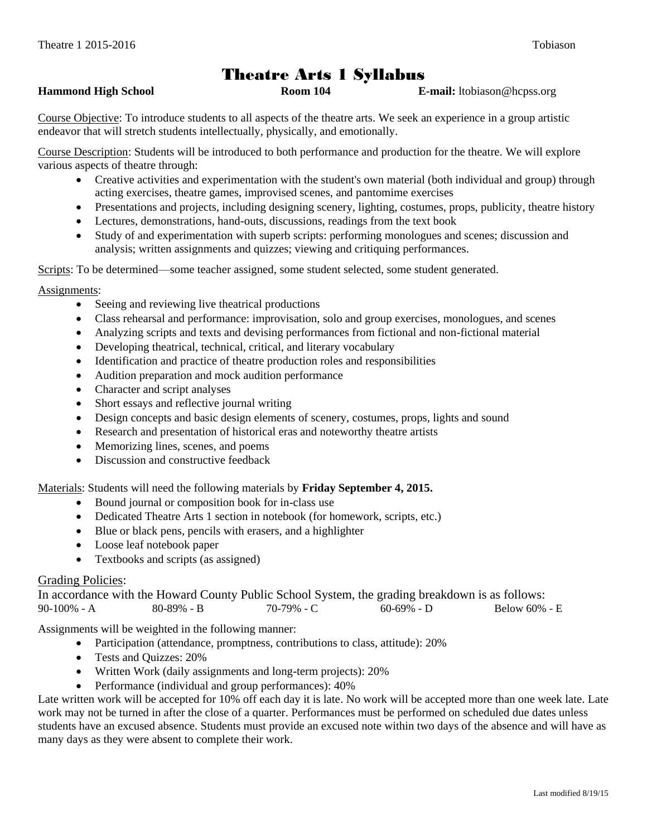# Theatre Arts 1 Syllabus

#### **Hammond High School Room 104 E-mail:** ltobiason@hcpss.org

Course Objective: To introduce students to all aspects of the theatre arts. We seek an experience in a group artistic endeavor that will stretch students intellectually, physically, and emotionally.

Course Description: Students will be introduced to both performance and production for the theatre. We will explore various aspects of theatre through:

- Creative activities and experimentation with the student's own material (both individual and group) through acting exercises, theatre games, improvised scenes, and pantomime exercises
- Presentations and projects, including designing scenery, lighting, costumes, props, publicity, theatre history
- Lectures, demonstrations, hand-outs, discussions, readings from the text book
- Study of and experimentation with superb scripts: performing monologues and scenes; discussion and analysis; written assignments and quizzes; viewing and critiquing performances.

Scripts: To be determined—some teacher assigned, some student selected, some student generated.

## Assignments:

- Seeing and reviewing live theatrical productions
- Class rehearsal and performance: improvisation, solo and group exercises, monologues, and scenes
- Analyzing scripts and texts and devising performances from fictional and non-fictional material
- Developing theatrical, technical, critical, and literary vocabulary
- Identification and practice of theatre production roles and responsibilities
- Audition preparation and mock audition performance
- Character and script analyses
- Short essays and reflective journal writing
- Design concepts and basic design elements of scenery, costumes, props, lights and sound
- Research and presentation of historical eras and noteworthy theatre artists
- Memorizing lines, scenes, and poems
- Discussion and constructive feedback

## Materials: Students will need the following materials by **Friday September 4, 2015.**

- Bound journal or composition book for in-class use
- Dedicated Theatre Arts 1 section in notebook (for homework, scripts, etc.)
- Blue or black pens, pencils with erasers, and a highlighter
- Loose leaf notebook paper
- Textbooks and scripts (as assigned)

## Grading Policies:

In accordance with the Howard County Public School System, the grading breakdown is as follows: 90-100% - A 80-89% - B 70-79% - C 60-69% - D Below 60% - E

Assignments will be weighted in the following manner:

- Participation (attendance, promptness, contributions to class, attitude): 20%
- Tests and Quizzes: 20%
- Written Work (daily assignments and long-term projects): 20%
- Performance (individual and group performances):  $40\%$

Late written work will be accepted for 10% off each day it is late. No work will be accepted more than one week late. Late work may not be turned in after the close of a quarter. Performances must be performed on scheduled due dates unless students have an excused absence. Students must provide an excused note within two days of the absence and will have as many days as they were absent to complete their work.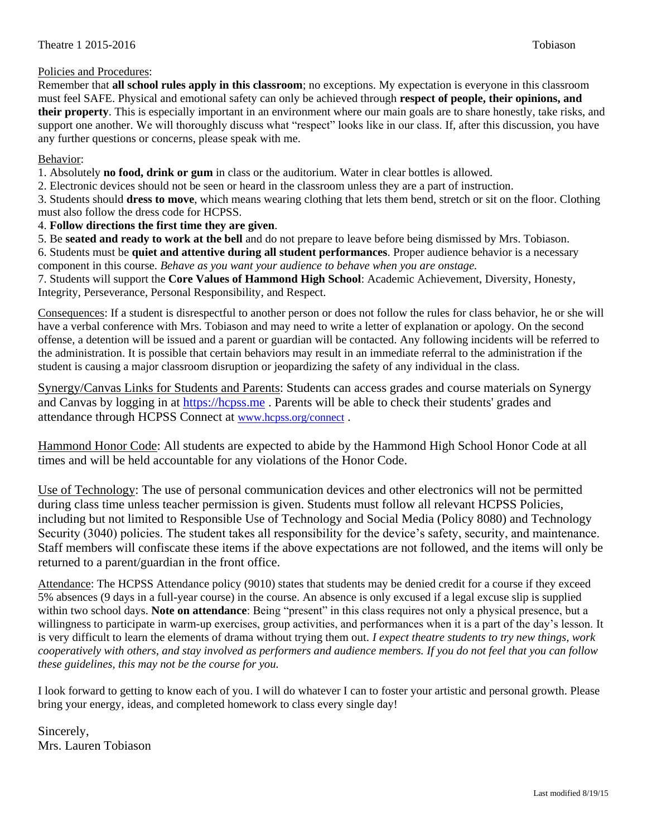#### Policies and Procedures:

Remember that **all school rules apply in this classroom**; no exceptions. My expectation is everyone in this classroom must feel SAFE. Physical and emotional safety can only be achieved through **respect of people, their opinions, and their property**. This is especially important in an environment where our main goals are to share honestly, take risks, and support one another. We will thoroughly discuss what "respect" looks like in our class. If, after this discussion, you have any further questions or concerns, please speak with me.

#### Behavior:

1. Absolutely **no food, drink or gum** in class or the auditorium. Water in clear bottles is allowed.

2. Electronic devices should not be seen or heard in the classroom unless they are a part of instruction.

3. Students should **dress to move**, which means wearing clothing that lets them bend, stretch or sit on the floor. Clothing must also follow the dress code for HCPSS.

4. **Follow directions the first time they are given**.

5. Be **seated and ready to work at the bell** and do not prepare to leave before being dismissed by Mrs. Tobiason.

6. Students must be **quiet and attentive during all student performances**. Proper audience behavior is a necessary component in this course. *Behave as you want your audience to behave when you are onstage.*

7. Students will support the **Core Values of Hammond High School**: Academic Achievement, Diversity, Honesty, Integrity, Perseverance, Personal Responsibility, and Respect.

Consequences: If a student is disrespectful to another person or does not follow the rules for class behavior, he or she will have a verbal conference with Mrs. Tobiason and may need to write a letter of explanation or apology. On the second offense, a detention will be issued and a parent or guardian will be contacted. Any following incidents will be referred to the administration. It is possible that certain behaviors may result in an immediate referral to the administration if the student is causing a major classroom disruption or jeopardizing the safety of any individual in the class.

Synergy/Canvas Links for Students and Parents: Students can access grades and course materials on Synergy and Canvas by logging in at [https://hcpss.me](https://mail.hcpss.org/owa/redir.aspx?C=qoMvxl6TEEiQ_eZslpJKpGPGcYborNIIjJtaS_FmbXD-nBG1s1upyLBfwk_SJZ8e1AkG3j8Eky8.&URL=https%3a%2f%2fhcpss.me) . Parents will be able to check their students' grades and attendance through HCPSS Connect at [www.hcpss.org/connect](https://mail.hcpss.org/owa/redir.aspx?C=qoMvxl6TEEiQ_eZslpJKpGPGcYborNIIjJtaS_FmbXD-nBG1s1upyLBfwk_SJZ8e1AkG3j8Eky8.&URL=http%3a%2f%2fwww.hcpss.org%2fconnect) .

Hammond Honor Code: All students are expected to abide by the Hammond High School Honor Code at all times and will be held accountable for any violations of the Honor Code.

Use of Technology: The use of personal communication devices and other electronics will not be permitted during class time unless teacher permission is given. Students must follow all relevant HCPSS Policies, including but not limited to Responsible Use of Technology and Social Media (Policy 8080) and Technology Security (3040) policies. The student takes all responsibility for the device's safety, security, and maintenance. Staff members will confiscate these items if the above expectations are not followed, and the items will only be returned to a parent/guardian in the front office.

Attendance: The HCPSS Attendance policy (9010) states that students may be denied credit for a course if they exceed 5% absences (9 days in a full-year course) in the course. An absence is only excused if a legal excuse slip is supplied within two school days. **Note on attendance**: Being "present" in this class requires not only a physical presence, but a willingness to participate in warm-up exercises, group activities, and performances when it is a part of the day's lesson. It is very difficult to learn the elements of drama without trying them out. *I expect theatre students to try new things, work cooperatively with others, and stay involved as performers and audience members. If you do not feel that you can follow these guidelines, this may not be the course for you.*

I look forward to getting to know each of you. I will do whatever I can to foster your artistic and personal growth. Please bring your energy, ideas, and completed homework to class every single day!

Sincerely, Mrs. Lauren Tobiason